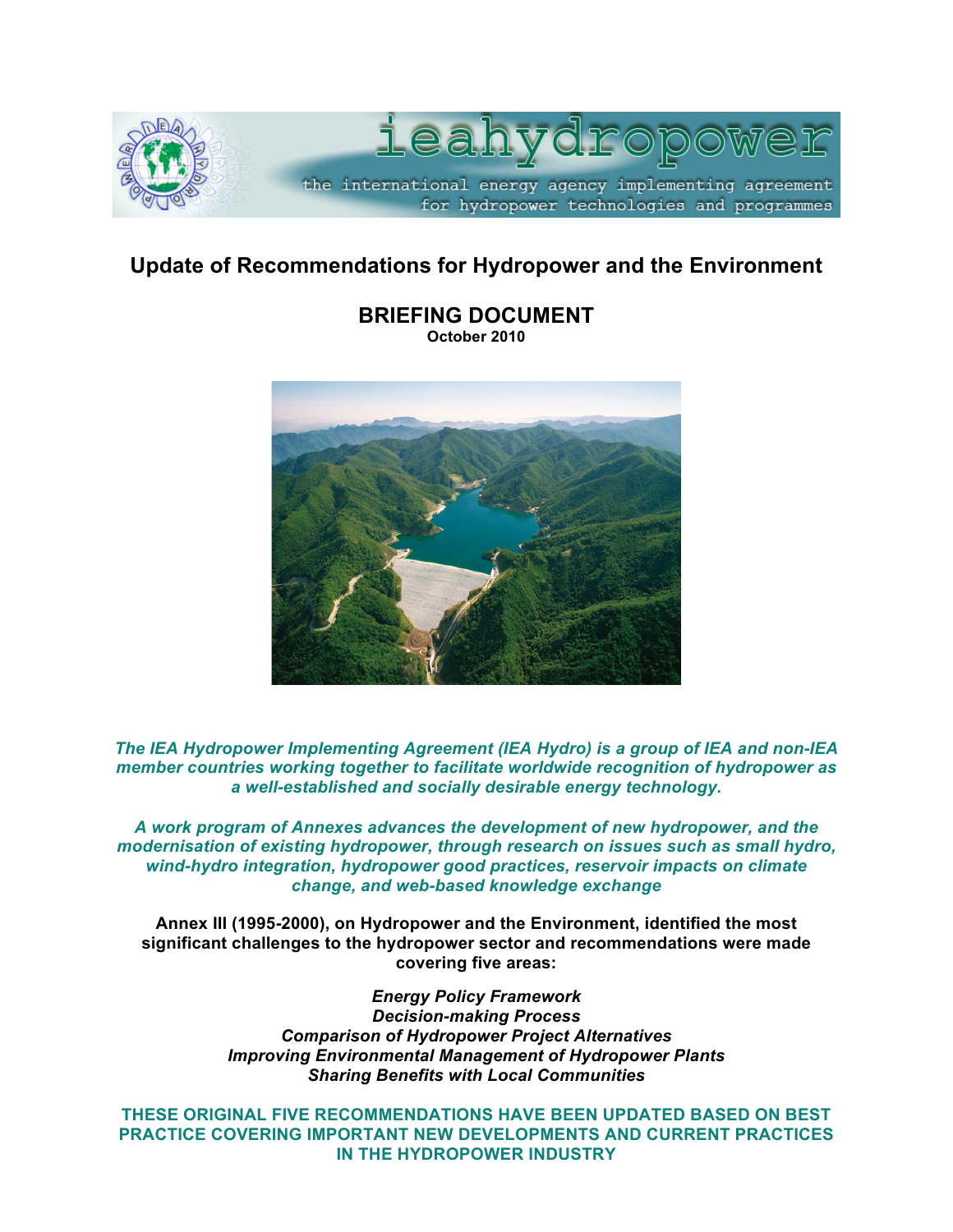

# **Update of Recommendations for Hydropower and the Environment**



**BRIEFING DOCUMENT October 2010**

*The IEA Hydropower Implementing Agreement (IEA Hydro) is a group of IEA and non-IEA member countries working together to facilitate worldwide recognition of hydropower as a well-established and socially desirable energy technology.*

*A work program of Annexes advances the development of new hydropower, and the modernisation of existing hydropower, through research on issues such as small hydro, wind-hydro integration, hydropower good practices, reservoir impacts on climate change, and web-based knowledge exchange*

**Annex III (1995-2000), on Hydropower and the Environment, identified the most significant challenges to the hydropower sector and recommendations were made covering five areas:** 

> *Energy Policy Framework Decision-making Process Comparison of Hydropower Project Alternatives Improving Environmental Management of Hydropower Plants Sharing Benefits with Local Communities*

**THESE ORIGINAL FIVE RECOMMENDATIONS HAVE BEEN UPDATED BASED ON BEST PRACTICE COVERING IMPORTANT NEW DEVELOPMENTS AND CURRENT PRACTICES IN THE HYDROPOWER INDUSTRY**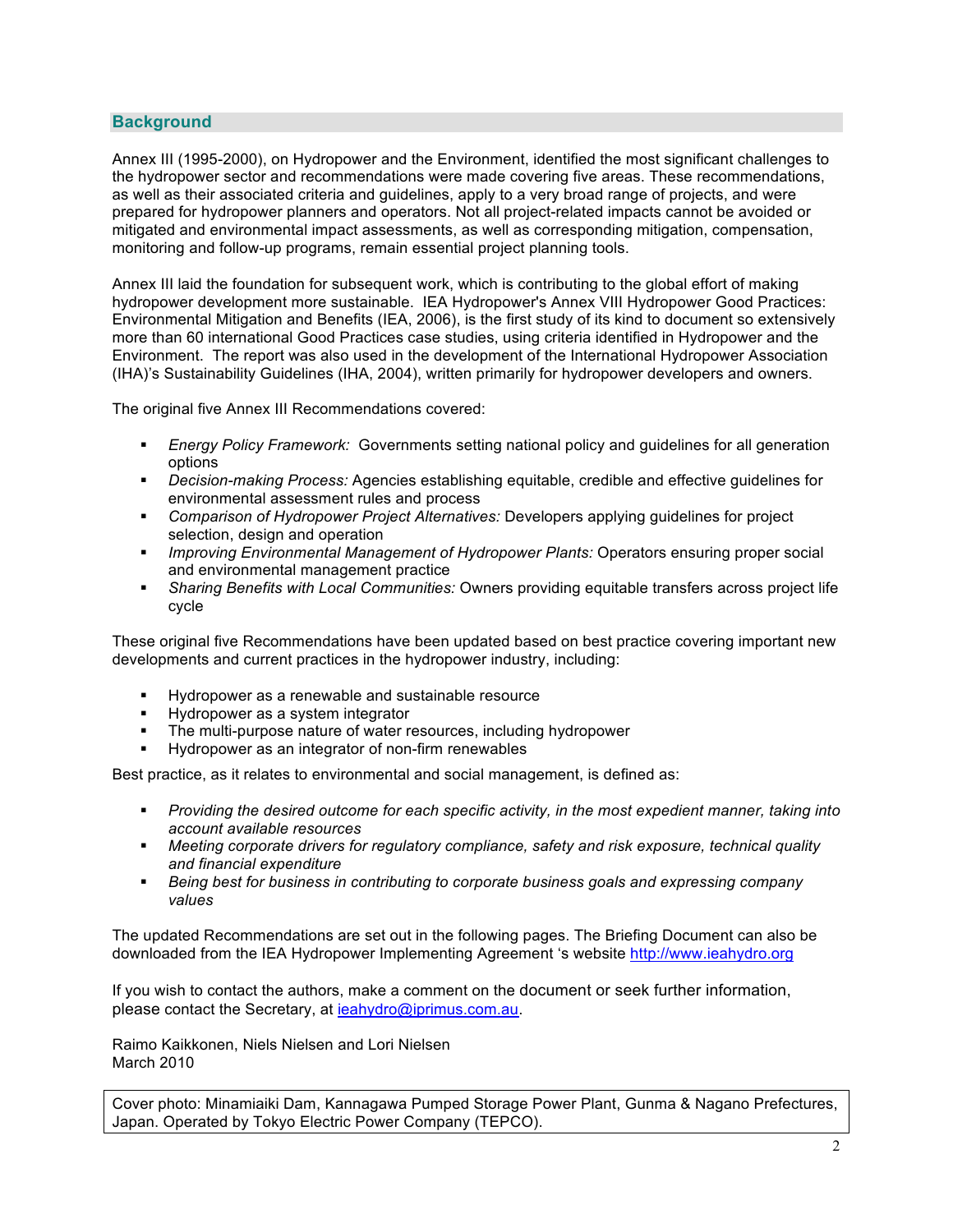## **Background**

Annex III (1995-2000), on Hydropower and the Environment, identified the most significant challenges to the hydropower sector and recommendations were made covering five areas. These recommendations, as well as their associated criteria and guidelines, apply to a very broad range of projects, and were prepared for hydropower planners and operators. Not all project-related impacts cannot be avoided or mitigated and environmental impact assessments, as well as corresponding mitigation, compensation, monitoring and follow-up programs, remain essential project planning tools.

Annex III laid the foundation for subsequent work, which is contributing to the global effort of making hydropower development more sustainable. IEA Hydropower's Annex VIII Hydropower Good Practices: Environmental Mitigation and Benefits (IEA, 2006), is the first study of its kind to document so extensively more than 60 international Good Practices case studies, using criteria identified in Hydropower and the Environment. The report was also used in the development of the International Hydropower Association (IHA)'s Sustainability Guidelines (IHA, 2004), written primarily for hydropower developers and owners.

The original five Annex III Recommendations covered:

- *Energy Policy Framework:* Governments setting national policy and guidelines for all generation options
- *Decision-making Process:* Agencies establishing equitable, credible and effective guidelines for environmental assessment rules and process
- *Comparison of Hydropower Project Alternatives:* Developers applying guidelines for project selection, design and operation
- *Improving Environmental Management of Hydropower Plants:* Operators ensuring proper social and environmental management practice
- *Sharing Benefits with Local Communities:* Owners providing equitable transfers across project life cycle

These original five Recommendations have been updated based on best practice covering important new developments and current practices in the hydropower industry, including:

- Hydropower as a renewable and sustainable resource
- **Hydropower as a system integrator**
- The multi-purpose nature of water resources, including hydropower
- Hydropower as an integrator of non-firm renewables

Best practice, as it relates to environmental and social management, is defined as:

- *Providing the desired outcome for each specific activity, in the most expedient manner, taking into account available resources*
- *Meeting corporate drivers for regulatory compliance, safety and risk exposure, technical quality and financial expenditure*
- *Being best for business in contributing to corporate business goals and expressing company values*

The updated Recommendations are set out in the following pages. The Briefing Document can also be downloaded from the IEA Hydropower Implementing Agreement 's website http://www.ieahydro.org

If you wish to contact the authors, make a comment on the document or seek further information, please contact the Secretary, at ieahydro@iprimus.com.au.

Raimo Kaikkonen, Niels Nielsen and Lori Nielsen March 2010

Cover photo: Minamiaiki Dam, Kannagawa Pumped Storage Power Plant, Gunma & Nagano Prefectures, Japan. Operated by Tokyo Electric Power Company (TEPCO).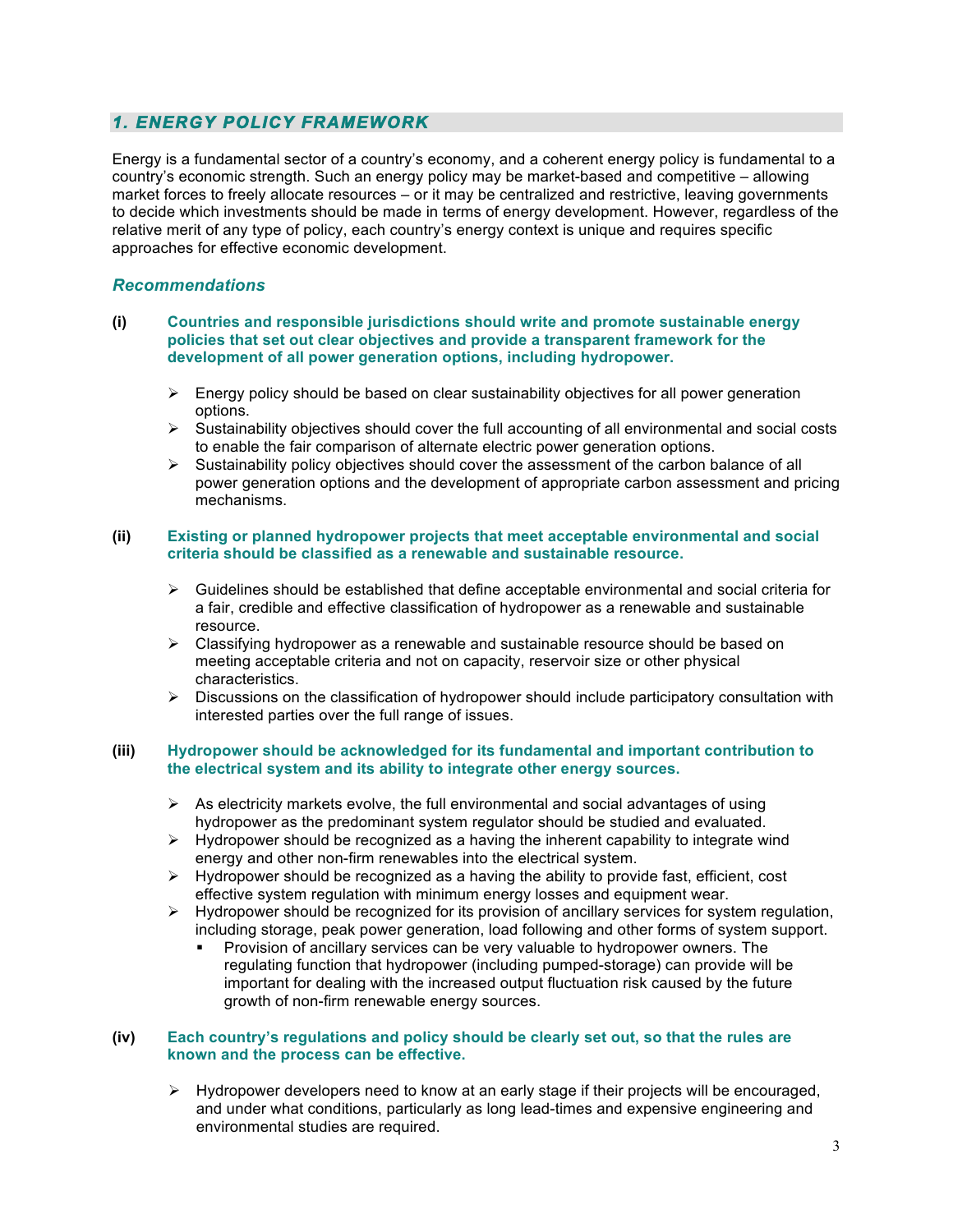## *1. ENERGY POLICY FRAMEWORK*

Energy is a fundamental sector of a country's economy, and a coherent energy policy is fundamental to a country's economic strength. Such an energy policy may be market-based and competitive – allowing market forces to freely allocate resources – or it may be centralized and restrictive, leaving governments to decide which investments should be made in terms of energy development. However, regardless of the relative merit of any type of policy, each country's energy context is unique and requires specific approaches for effective economic development.

## *Recommendations*

- **(i) Countries and responsible jurisdictions should write and promote sustainable energy policies that set out clear objectives and provide a transparent framework for the development of all power generation options, including hydropower.**
	- $\triangleright$  Energy policy should be based on clear sustainability objectives for all power generation options.
	- $\triangleright$  Sustainability objectives should cover the full accounting of all environmental and social costs to enable the fair comparison of alternate electric power generation options.
	- $\triangleright$  Sustainability policy objectives should cover the assessment of the carbon balance of all power generation options and the development of appropriate carbon assessment and pricing mechanisms.

#### **(ii) Existing or planned hydropower projects that meet acceptable environmental and social criteria should be classified as a renewable and sustainable resource.**

- $\triangleright$  Guidelines should be established that define acceptable environmental and social criteria for a fair, credible and effective classification of hydropower as a renewable and sustainable resource.
- $\triangleright$  Classifying hydropower as a renewable and sustainable resource should be based on meeting acceptable criteria and not on capacity, reservoir size or other physical characteristics.
- $\triangleright$  Discussions on the classification of hydropower should include participatory consultation with interested parties over the full range of issues.

## **(iii) Hydropower should be acknowledged for its fundamental and important contribution to the electrical system and its ability to integrate other energy sources.**

- $\triangleright$  As electricity markets evolve, the full environmental and social advantages of using hydropower as the predominant system regulator should be studied and evaluated.
- $\triangleright$  Hydropower should be recognized as a having the inherent capability to integrate wind energy and other non-firm renewables into the electrical system.
- $\triangleright$  Hydropower should be recognized as a having the ability to provide fast, efficient, cost effective system regulation with minimum energy losses and equipment wear.
- $\triangleright$  Hydropower should be recognized for its provision of ancillary services for system regulation, including storage, peak power generation, load following and other forms of system support.
	- Provision of ancillary services can be very valuable to hydropower owners. The regulating function that hydropower (including pumped-storage) can provide will be important for dealing with the increased output fluctuation risk caused by the future growth of non-firm renewable energy sources.

## **(iv) Each country's regulations and policy should be clearly set out, so that the rules are known and the process can be effective.**

 $\triangleright$  Hydropower developers need to know at an early stage if their projects will be encouraged, and under what conditions, particularly as long lead-times and expensive engineering and environmental studies are required.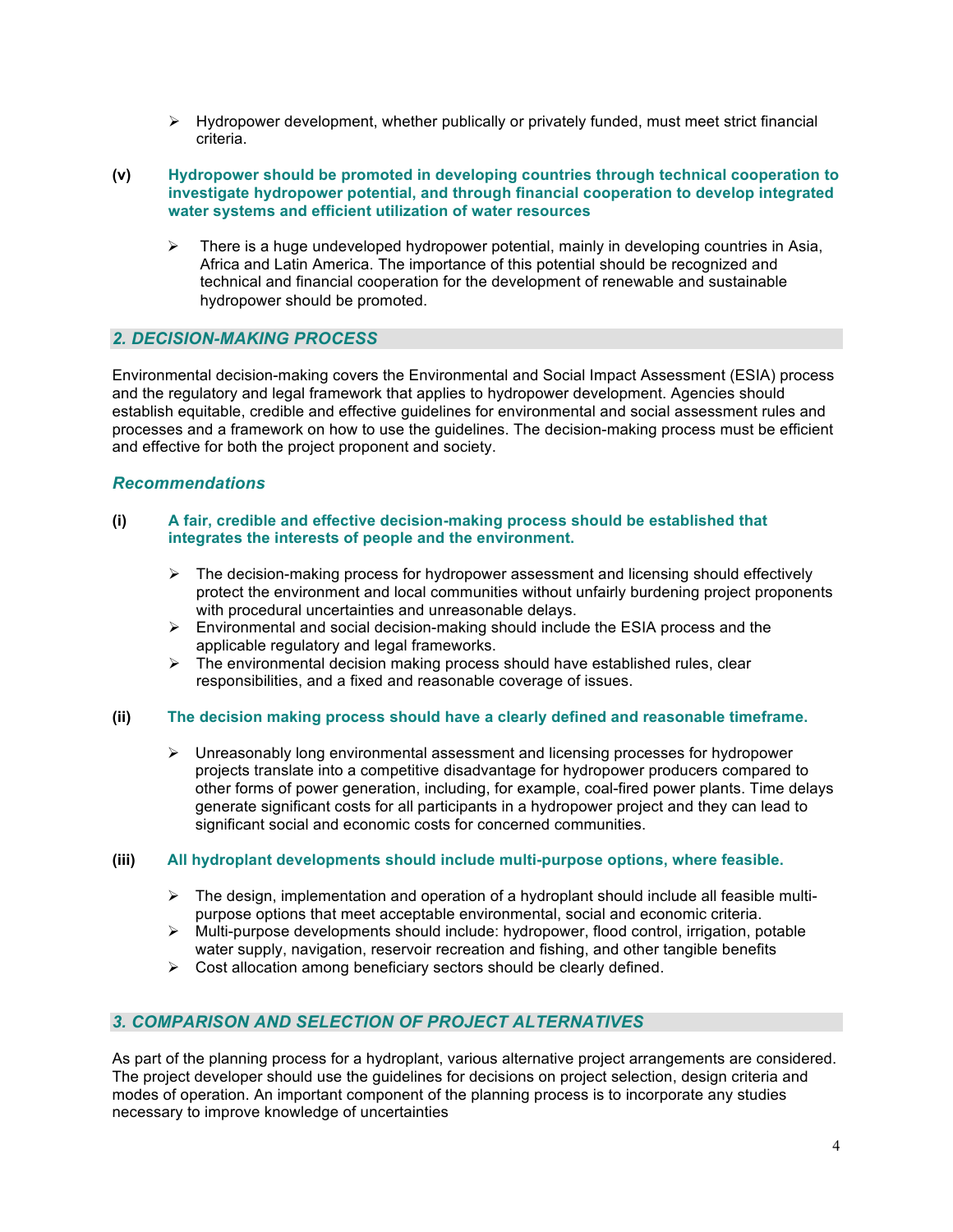- $\triangleright$  Hydropower development, whether publically or privately funded, must meet strict financial criteria.
- **(v) Hydropower should be promoted in developing countries through technical cooperation to investigate hydropower potential, and through financial cooperation to develop integrated water systems and efficient utilization of water resources**
	- $\triangleright$  There is a huge undeveloped hydropower potential, mainly in developing countries in Asia, Africa and Latin America. The importance of this potential should be recognized and technical and financial cooperation for the development of renewable and sustainable hydropower should be promoted.

## *2. DECISION-MAKING PROCESS*

Environmental decision-making covers the Environmental and Social Impact Assessment (ESIA) process and the regulatory and legal framework that applies to hydropower development. Agencies should establish equitable, credible and effective guidelines for environmental and social assessment rules and processes and a framework on how to use the guidelines. The decision-making process must be efficient and effective for both the project proponent and society.

## *Recommendations*

#### **(i) A fair, credible and effective decision-making process should be established that integrates the interests of people and the environment.**

- $\triangleright$  The decision-making process for hydropower assessment and licensing should effectively protect the environment and local communities without unfairly burdening project proponents with procedural uncertainties and unreasonable delays.
- $\triangleright$  Environmental and social decision-making should include the ESIA process and the applicable regulatory and legal frameworks.
- $\triangleright$  The environmental decision making process should have established rules, clear responsibilities, and a fixed and reasonable coverage of issues.

## **(ii) The decision making process should have a clearly defined and reasonable timeframe.**

 $\triangleright$  Unreasonably long environmental assessment and licensing processes for hydropower projects translate into a competitive disadvantage for hydropower producers compared to other forms of power generation, including, for example, coal-fired power plants. Time delays generate significant costs for all participants in a hydropower project and they can lead to significant social and economic costs for concerned communities.

## **(iii) All hydroplant developments should include multi-purpose options, where feasible.**

- $\triangleright$  The design, implementation and operation of a hydroplant should include all feasible multipurpose options that meet acceptable environmental, social and economic criteria.
- $\triangleright$  Multi-purpose developments should include: hydropower, flood control, irrigation, potable water supply, navigation, reservoir recreation and fishing, and other tangible benefits
- $\triangleright$  Cost allocation among beneficiary sectors should be clearly defined.

## *3. COMPARISON AND SELECTION OF PROJECT ALTERNATIVES*

As part of the planning process for a hydroplant, various alternative project arrangements are considered. The project developer should use the guidelines for decisions on project selection, design criteria and modes of operation. An important component of the planning process is to incorporate any studies necessary to improve knowledge of uncertainties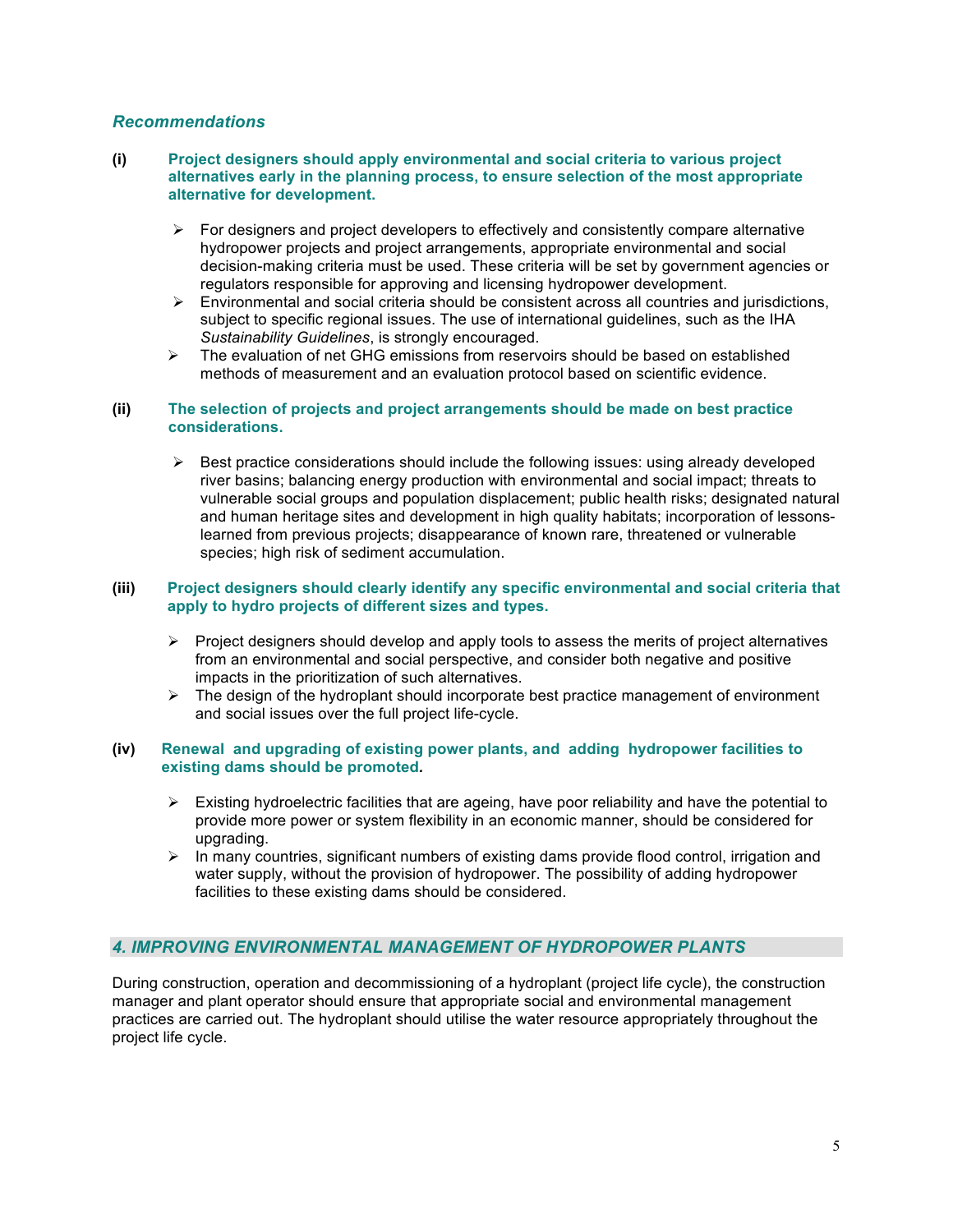## *Recommendations*

#### **(i) Project designers should apply environmental and social criteria to various project alternatives early in the planning process, to ensure selection of the most appropriate alternative for development.**

- $\triangleright$  For designers and project developers to effectively and consistently compare alternative hydropower projects and project arrangements, appropriate environmental and social decision-making criteria must be used. These criteria will be set by government agencies or regulators responsible for approving and licensing hydropower development.
- $\triangleright$  Environmental and social criteria should be consistent across all countries and jurisdictions, subject to specific regional issues. The use of international guidelines, such as the IHA *Sustainability Guidelines*, is strongly encouraged.
- $\triangleright$  The evaluation of net GHG emissions from reservoirs should be based on established methods of measurement and an evaluation protocol based on scientific evidence.

## **(ii) The selection of projects and project arrangements should be made on best practice considerations.**

 $\triangleright$  Best practice considerations should include the following issues: using already developed river basins; balancing energy production with environmental and social impact; threats to vulnerable social groups and population displacement; public health risks; designated natural and human heritage sites and development in high quality habitats; incorporation of lessonslearned from previous projects; disappearance of known rare, threatened or vulnerable species; high risk of sediment accumulation.

#### **(iii) Project designers should clearly identify any specific environmental and social criteria that apply to hydro projects of different sizes and types.**

- $\triangleright$  Project designers should develop and apply tools to assess the merits of project alternatives from an environmental and social perspective, and consider both negative and positive impacts in the prioritization of such alternatives.
- $\triangleright$  The design of the hydroplant should incorporate best practice management of environment and social issues over the full project life-cycle.

## **(iv) Renewal and upgrading of existing power plants, and adding hydropower facilities to existing dams should be promoted***.*

- $\triangleright$  Existing hydroelectric facilities that are ageing, have poor reliability and have the potential to provide more power or system flexibility in an economic manner, should be considered for upgrading.
- $\triangleright$  In many countries, significant numbers of existing dams provide flood control, irrigation and water supply, without the provision of hydropower. The possibility of adding hydropower facilities to these existing dams should be considered.

## *4. IMPROVING ENVIRONMENTAL MANAGEMENT OF HYDROPOWER PLANTS*

During construction, operation and decommissioning of a hydroplant (project life cycle), the construction manager and plant operator should ensure that appropriate social and environmental management practices are carried out. The hydroplant should utilise the water resource appropriately throughout the project life cycle.